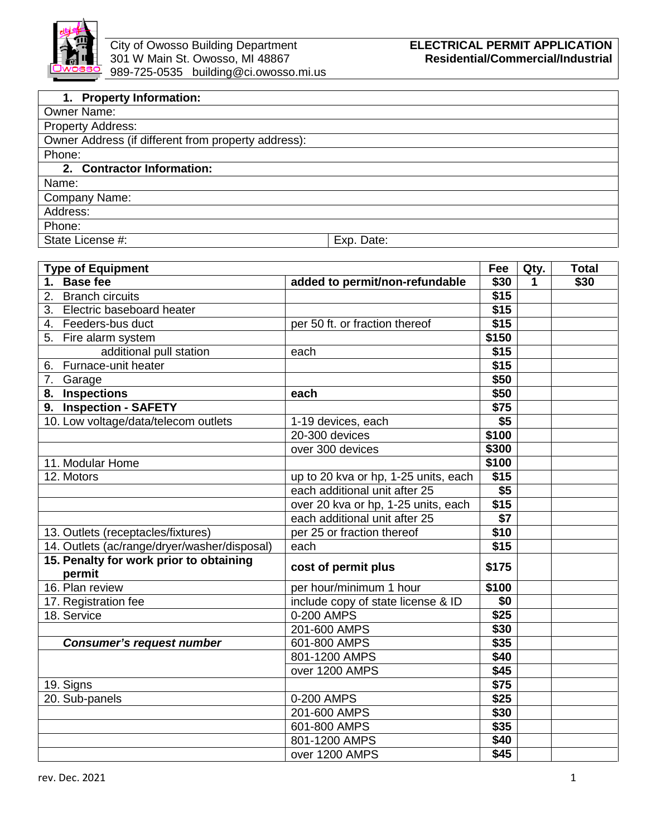

| 1. Property Information:                            |            |
|-----------------------------------------------------|------------|
| <b>Owner Name:</b>                                  |            |
| <b>Property Address:</b>                            |            |
| Owner Address (if different from property address): |            |
| Phone:                                              |            |
| 2. Contractor Information:                          |            |
| Name:                                               |            |
| Company Name:                                       |            |
| Address:                                            |            |
| Phone:                                              |            |
| State License #:                                    | Exp. Date: |

| <b>Type of Equipment</b>                          |                                      | Fee              | Qty. | <b>Total</b> |
|---------------------------------------------------|--------------------------------------|------------------|------|--------------|
| 1. Base fee                                       | added to permit/non-refundable       | \$30             | 1    | \$30         |
| 2.<br><b>Branch circuits</b>                      |                                      | \$15             |      |              |
| 3. Electric baseboard heater                      |                                      | \$15             |      |              |
| 4. Feeders-bus duct                               | per 50 ft. or fraction thereof       | \$15             |      |              |
| 5. Fire alarm system                              |                                      | \$150            |      |              |
| additional pull station                           | each                                 | \$15             |      |              |
| 6. Furnace-unit heater                            |                                      | \$15             |      |              |
| 7. Garage                                         |                                      | \$50             |      |              |
| 8. Inspections                                    | each                                 | \$50             |      |              |
| 9. Inspection - SAFETY                            |                                      | \$75             |      |              |
| 10. Low voltage/data/telecom outlets              | 1-19 devices, each                   | \$5              |      |              |
|                                                   | 20-300 devices                       | \$100            |      |              |
|                                                   | over 300 devices                     | \$300            |      |              |
| 11. Modular Home                                  |                                      | \$100            |      |              |
| 12. Motors                                        | up to 20 kva or hp, 1-25 units, each | \$15             |      |              |
|                                                   | each additional unit after 25        | \$5              |      |              |
|                                                   | over 20 kva or hp, 1-25 units, each  | \$15             |      |              |
|                                                   | each additional unit after 25        | $\overline{\$7}$ |      |              |
| 13. Outlets (receptacles/fixtures)                | per 25 or fraction thereof           | \$10             |      |              |
| 14. Outlets (ac/range/dryer/washer/disposal)      | each                                 | \$15             |      |              |
| 15. Penalty for work prior to obtaining<br>permit | cost of permit plus                  | \$175            |      |              |
| 16. Plan review                                   | per hour/minimum 1 hour              | \$100            |      |              |
| 17. Registration fee                              | include copy of state license & ID   | $\overline{50}$  |      |              |
| 18. Service                                       | 0-200 AMPS                           | \$25             |      |              |
|                                                   | 201-600 AMPS                         | \$30             |      |              |
| <b>Consumer's request number</b>                  | 601-800 AMPS                         | \$35             |      |              |
|                                                   | 801-1200 AMPS                        | \$40             |      |              |
|                                                   | over 1200 AMPS                       | \$45             |      |              |
| 19. Signs                                         |                                      | \$75             |      |              |
| 20. Sub-panels                                    | 0-200 AMPS                           | \$25             |      |              |
|                                                   | 201-600 AMPS                         | \$30             |      |              |
|                                                   | 601-800 AMPS                         | \$35             |      |              |
|                                                   | 801-1200 AMPS                        | \$40             |      |              |
|                                                   | over 1200 AMPS                       | \$45             |      |              |